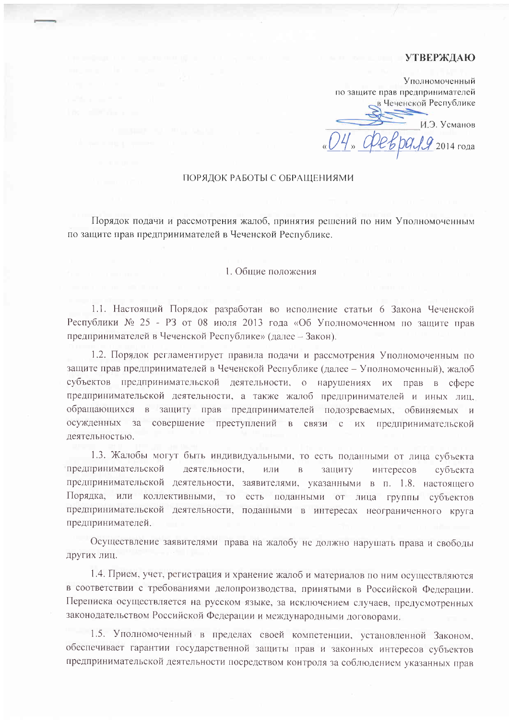## **УТВЕРЖДАЮ**

Уполномоченный по защите прав предпринимателей в Чеченской Республике И.Э. Усманов " O4" OPER pays 2014 roga

## ПОРЯДОК РАБОТЫ С ОБРАЩЕНИЯМИ

Порядок подачи и рассмотрения жалоб, принятия решений по ним Уполномоченным по защите прав предпринимателей в Чеченской Республике.

## 1. Общие положения

1.1. Настоящий Порядок разработан во исполнение статьи 6 Закона Чеченской Республики № 25 - РЗ от 08 июля 2013 года «Об Уполномоченном по защите прав предпринимателей в Чеченской Республике» (далее - Закон).

1.2. Порядок регламентирует правила подачи и рассмотрения Уполномоченным по защите прав предпринимателей в Чеченской Республике (далее - Уполномоченный), жалоб субъектов предпринимательской деятельности, о нарушениях их прав в сфере предпринимательской деятельности, а также жалоб предпринимателей и иных лиц, обращающихся в защиту прав предпринимателей подозреваемых, обвиняемых и осужденных за совершение преступлений в связи с их предпринимательской деятельностью.

1.3. Жалобы могут быть индивидуальными, то есть поданными от лица субъекта предпринимательской или в деятельности, защиту интересов субъекта предпринимательской деятельности, заявителями, указанными в п. 1.8. настоящего Порядка, или коллективными, то есть поданными от лица группы субъектов предпринимательской деятельности, поданными в интересах неограниченного круга предпринимателей.

Осуществление заявителями права на жалобу не должно нарушать права и свободы других лиц.

1.4. Прием, учет, регистрация и хранение жалоб и материалов по ним осуществляются в соответствии с требованиями делопроизводства, принятыми в Российской Федерации. Переписка осуществляется на русском языке, за исключением случаев, предусмотренных законодательством Российской Федерации и международными договорами.

1.5. Уполномоченный в пределах своей компетенции, установленной Законом, обеспечивает гарантии государственной защиты прав и законных интересов субъектов предпринимательской деятельности посредством контроля за соблюдением указанных прав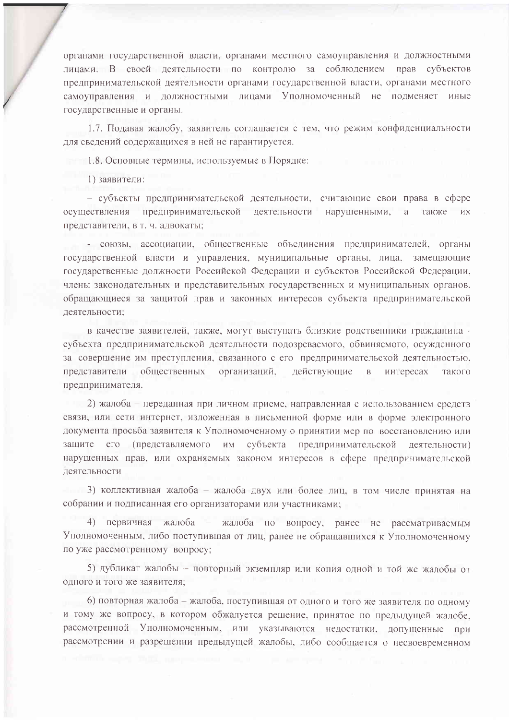органами государственной власти, органами местного самоуправления и должностными лицами. В своей деятельности по контролю за соблюдением прав субъектов предпринимательской деятельности органами государственной власти, органами местного подменяет иные самоуправления и должностными лицами Уполномоченный  $He$ государственные и органы.

1.7. Подавая жалобу, заявитель соглашается с тем, что режим конфиденциальности для сведений содержащихся в ней не гарантируется.

1.8. Основные термины, используемые в Порядке:

1) заявители:

- субъекты предпринимательской деятельности, считающие свои права в сфере осуществления предпринимательской деятельности нарушенными. a также их представители, в т. ч. адвокаты;

- союзы, ассоциации, общественные объединения предпринимателей, органы государственной власти и управления, муниципальные органы, лица, замещающие государственные должности Российской Федерации и субъектов Российской Федерации, члены законодательных и представительных государственных и муниципальных органов, обращающиеся за защитой прав и законных интересов субъекта предпринимательской деятельности:

в качестве заявителей, также, могут выступать близкие родственники гражданина субъекта предпринимательской деятельности подозреваемого, обвиняемого, осужденного за совершение им преступления, связанного с его предпринимательской деятельностью, представители общественных действующие организаций.  $\overline{B}$ интересах такого предпринимателя.

2) жалоба – переданная при личном приеме, направленная с использованием средств связи, или сети интернет, изложенная в письменной форме или в форме электронного документа просьба заявителя к Уполномоченному о принятии мер по восстановлению или защите его (представляемого ИМ субъекта предпринимательской деятельности) нарушенных прав, или охраняемых законом интересов в сфере предпринимательской деятельности

3) коллективная жалоба - жалоба двух или более лиц, в том числе принятая на собрании и подписанная его организаторами или участниками;

4) первичная жалоба - жалоба по вопросу, ранее не рассматриваемым Уполномоченным, либо поступившая от лиц, ранее не обращавшихся к Уполномоченному по уже рассмотренному вопросу;

5) дубликат жалобы – повторный экземпляр или копия одной и той же жалобы от одного и того же заявителя;

6) повторная жалоба - жалоба, поступившая от одного и того же заявителя по одному и тому же вопросу, в котором обжалуется решение, принятое по предыдущей жалобе, рассмотренной Уполномоченным, или указываются недостатки, допущенные при рассмотрении и разрешении предыдущей жалобы, либо сообщается о несвоевременном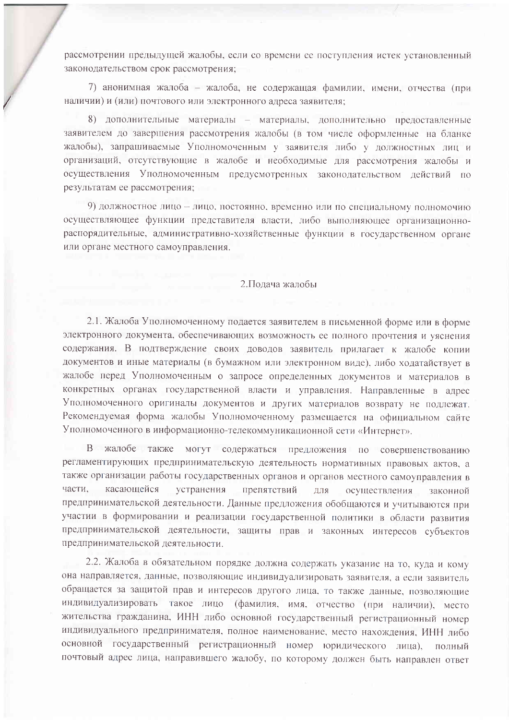рассмотрении предыдущей жалобы, если со времени ее поступления истек установленный законодательством срок рассмотрения;

7) анонимная жалоба - жалоба, не содержащая фамилии, имени, отчества (при наличии) и (или) почтового или электронного адреса заявителя;

8) дополнительные материалы - материалы, дополнительно предоставленные заявителем до завершения рассмотрения жалобы (в том числе оформленные на бланке жалобы), запрашиваемые Уполномоченным у заявителя либо у должностных лиц и организаций, отсутствующие в жалобе и необходимые для рассмотрения жалобы и осуществления Уполномоченным предусмотренных законодательством действий по результатам ее рассмотрения;

9) должностное лицо - лицо, постоянно, временно или по специальному полномочию осуществляющее функции представителя власти, либо выполняющее организационнораспорядительные, административно-хозяйственные функции в государственном органе или органе местного самоуправления.

## 2.Полача жалобы

2.1. Жалоба Уполномоченному подается заявителем в письменной форме или в форме электронного документа, обеспечивающих возможность ее полного прочтения и уяснения содержания. В подтверждение своих доводов заявитель прилагает к жалобе копии документов и иные материалы (в бумажном или электронном виде), либо ходатайствует в жалобе перед Уполномоченным о запросе определенных документов и материалов в конкретных органах государственной власти и управления. Направленные в адрес Уполномоченного оригиналы документов и других материалов возврату не подлежат. Рекомендуемая форма жалобы Уполномоченному размещается на официальном сайте Уполномоченного в информационно-телекоммуникационной сети «Интернет».

В жалобе также могут содержаться предложения по совершенствованию регламентирующих предпринимательскую деятельность нормативных правовых актов, а также организации работы государственных органов и органов местного самоуправления в части. касающейся устранения препятствий ДЛЯ осуществления законной предпринимательской деятельности. Данные предложения обобщаются и учитываются при участии в формировании и реализации государственной политики в области развития предпринимательской деятельности, защиты прав и законных интересов субъектов предпринимательской деятельности.

2.2. Жалоба в обязательном порядке должна содержать указание на то, куда и кому она направляется, данные, позволяющие индивидуализировать заявителя, а если заявитель обращается за защитой прав и интересов другого лица, то также данные, позволяющие индивидуализировать такое лицо (фамилия, имя, отчество (при наличии), место жительства гражданина, ИНН либо основной государственный регистрационный номер индивидуального предпринимателя, полное наименование, место нахождения, ИНН либо основной государственный регистрационный номер юридического лица), полный почтовый адрес лица, направившего жалобу, по которому должен быть направлен ответ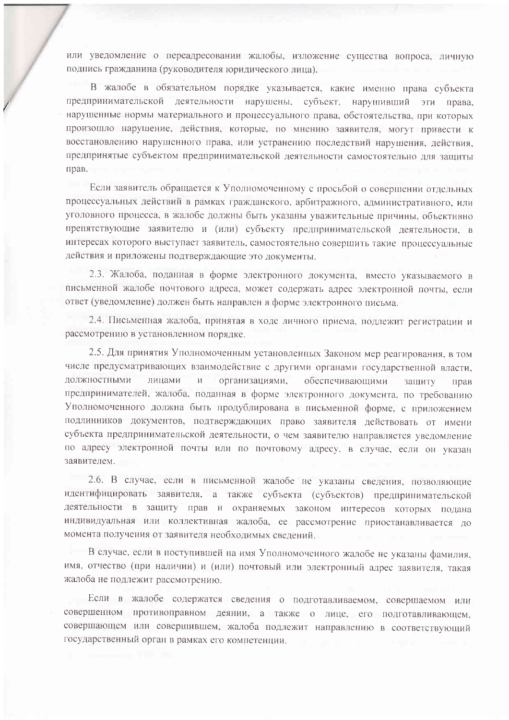или уведомление о переадресовании жалобы, изложение существа вопроса, личную подпись гражданина (руководителя юридического лица).

В жалобе в обязательном порядке указывается, какие именно права субъекта предпринимательской деятельности нарушены, субъект, нарушивший эти права, нарушенные нормы материального и процессуального права, обстоятельства, при которых произошло нарушение, действия, которые, по мнению заявителя, могут привести к восстановлению нарушенного права, или устранению последствий нарушения, действия, предпринятые субъектом предпринимательской деятельности самостоятельно для защиты прав.

Если заявитель обращается к Уполномоченному с просьбой о совершении отдельных процессуальных действий в рамках гражданского, арбитражного, административного, или уголовного процесса, в жалобе должны быть указаны уважительные причины, объективно препятствующие заявителю и (или) субъекту предпринимательской деятельности, в интересах которого выступает заявитель, самостоятельно совершить такие процессуальные действия и приложены подтверждающие это документы.

2.3. Жалоба, поданная в форме электронного документа, вместо указываемого в письменной жалобе почтового адреса, может содержать адрес электронной почты, если ответ (уведомление) должен быть направлен в форме электронного письма.

2.4. Письменная жалоба, принятая в ходе личного приема, подлежит регистрации и рассмотрению в установленном порядке.

2.5. Для принятия Уполномоченным установленных Законом мер реагирования, в том числе предусматривающих взаимодействие с другими органами государственной власти, должностными лицами  $\overline{M}$ организациями, обеспечивающими защиту прав предпринимателей, жалоба, поданная в форме электронного документа, по требованию Уполномоченного должна быть продублирована в письменной форме, с приложением подлинников документов, подтверждающих право заявителя действовать от имени субъекта предпринимательской деятельности, о чем заявителю направляется уведомление по адресу электронной почты или по почтовому адресу, в случае, если он указан заявителем.

2.6. В случае, если в письменной жалобе не указаны сведения, позволяющие идентифицировать заявителя, а также субъекта (субъектов) предпринимательской деятельности в защиту прав и охраняемых законом интересов которых подана индивидуальная или коллективная жалоба, ее рассмотрение приостанавливается до момента получения от заявителя необходимых сведений.

В случае, если в поступившей на имя Уполномоченного жалобе не указаны фамилия, имя, отчество (при наличии) и (или) почтовый или электронный адрес заявителя, такая жалоба не подлежит рассмотрению.

Если в жалобе содержатся сведения о подготавливаемом, совершаемом или совершенном противоправном деянии, а также о лице, его подготавливающем, совершающем или совершившем, жалоба подлежит направлению в соответствующий государственный орган в рамках его компетенции.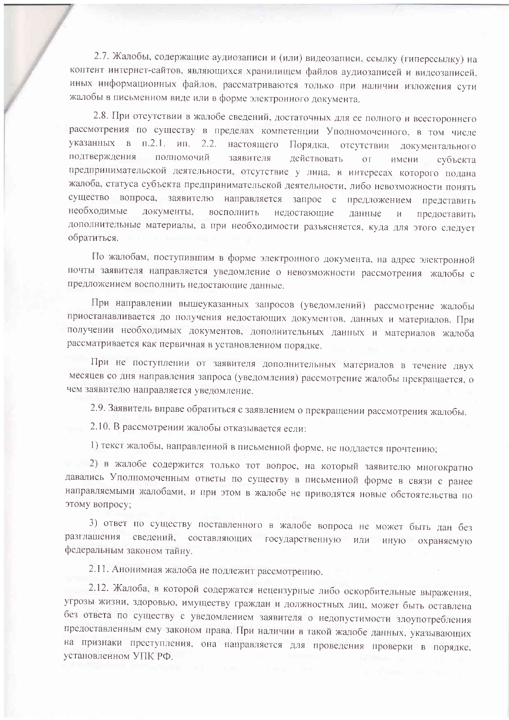2.7. Жалобы, содержащие аудиозаписи и (или) видеозаписи, ссылку (гиперссылку) на контент интернет-сайтов, являющихся хранилищем файлов аудиозаписей и видеозаписей, иных информационных файлов, рассматриваются только при наличии изложения сути жалобы в письменном виде или в форме электронного документа.

2.8. При отсутствии в жалобе сведений, достаточных для ее полного и всестороннего рассмотрения по существу в пределах компетенции Уполномоченного, в том числе указанных в п.2.1. ип.  $2.2.$ настоящего Порядка, отсутствии документального подтверждения ПОЛНОМОЧИЙ заявителя действовать  $\overline{O}T$ имени субъекта предпринимательской деятельности, отсутствие у лица, в интересах которого подана жалоба, статуса субъекта предпринимательской деятельности, либо невозможности понять существо вопроса, заявителю направляется запрос с предложением представить необходимые восполнить документы. недостающие ланные  $\overline{M}$ предоставить дополнительные материалы, а при необходимости разъясняется, куда для этого следует обратиться.

По жалобам, поступившим в форме электронного документа, на адрес электронной почты заявителя направляется уведомление о невозможности рассмотрения жалобы с предложением восполнить недостающие данные.

При направлении вышеуказанных запросов (уведомлений) рассмотрение жалобы приостанавливается до получения недостающих документов, данных и материалов. При получении необходимых документов, дополнительных данных и материалов жалоба рассматривается как первичная в установленном порядке.

При не поступлении от заявителя дополнительных материалов в течение двух месяцев со дня направления запроса (уведомления) рассмотрение жалобы прекращается, о чем заявителю направляется уведомление.

2.9. Заявитель вправе обратиться с заявлением о прекращении рассмотрения жалобы.

2.10. В рассмотрении жалобы отказывается если:

1) текст жалобы, направленной в письменной форме, не поддается прочтению;

2) в жалобе содержится только тот вопрос, на который заявителю многократно давались Уполномоченным ответы по существу в письменной форме в связи с ранее направляемыми жалобами, и при этом в жалобе не приводятся новые обстоятельства по этому вопросу:

3) ответ по существу поставленного в жалобе вопроса не может быть дан без разглашения сведений, составляющих государственную или иную охраняемую федеральным законом тайну.

2.11. Анонимная жалоба не подлежит рассмотрению.

2.12. Жалоба, в которой содержатся нецензурные либо оскорбительные выражения, угрозы жизни, здоровью, имуществу граждан и должностных лиц, может быть оставлена без ответа по существу с уведомлением заявителя о недопустимости злоупотребления предоставленным ему законом права. При наличии в такой жалобе данных, указывающих на признаки преступления, она направляется для проведения проверки в порядке, установленном УПК РФ.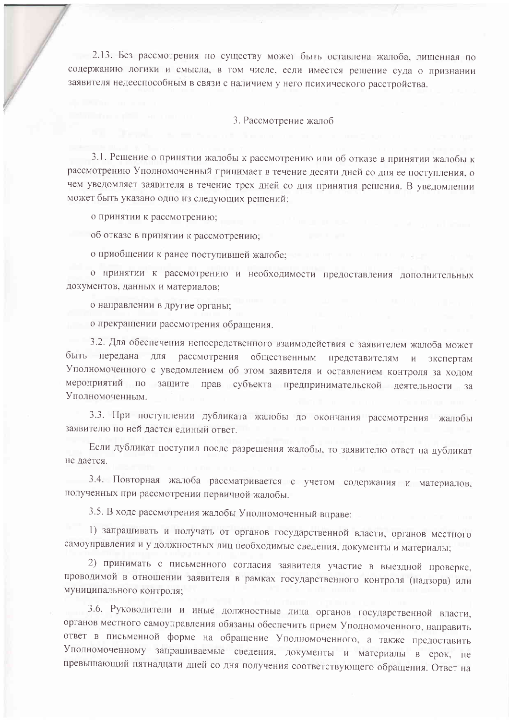2.13. Без рассмотрения по существу может быть оставлена жалоба, лишенная по содержанию логики и смысла, в том числе, если имеется решение суда о признании заявителя недееспособным в связи с наличием у него психического расстройства.

3. Рассмотрение жалоб

3.1. Решение о принятии жалобы к рассмотрению или об отказе в принятии жалобы к рассмотрению Уполномоченный принимает в течение десяти дней со дня ее поступления, о чем уведомляет заявителя в течение трех дней со дня принятия решения. В уведомлении может быть указано одно из следующих решений:

о принятии к рассмотрению;

об отказе в принятии к рассмотрению;

о приобщении к ранее поступившей жалобе:

о принятии к рассмотрению и необходимости предоставления дополнительных документов, данных и материалов:

о направлении в другие органы:

о прекращении рассмотрения обращения.

3.2. Для обеспечения непосредственного взаимодействия с заявителем жалоба может быть передана для рассмотрения общественным представителям и экспертам Уполномоченного с уведомлением об этом заявителя и оставлением контроля за ходом мероприятий по защите прав субъекта предпринимательской деятельности за Уполномоченным.

3.3. При поступлении дубликата жалобы до окончания рассмотрения жалобы заявителю по ней дается единый ответ.

Если дубликат поступил после разрешения жалобы, то заявителю ответ на дубликат не дается.

3.4. Повторная жалоба рассматривается с учетом содержания и материалов, полученных при рассмотрении первичной жалобы.

3.5. В ходе рассмотрения жалобы Уполномоченный вправе:

1) запрашивать и получать от органов государственной власти, органов местного самоуправления и у должностных лиц необходимые сведения, документы и материалы;

2) принимать с письменного согласия заявителя участие в выездной проверке, проводимой в отношении заявителя в рамках государственного контроля (надзора) или муниципального контроля;

3.6. Руководители и иные должностные лица органов государственной власти, органов местного самоуправления обязаны обеспечить прием Уполномоченного, направить ответ в письменной форме на обращение Уполномоченного, а также предоставить Уполномоченному запрашиваемые сведения, документы и материалы в срок, не превышающий пятнадцати дней со дня получения соответствующего обращения. Ответ на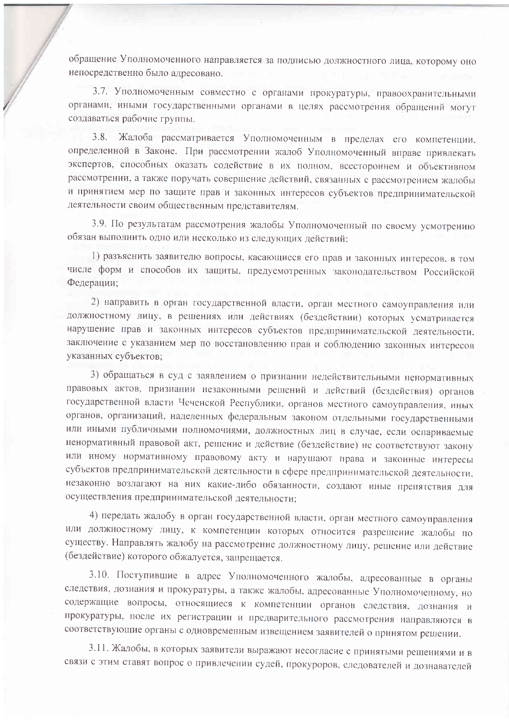обращение Уполномоченного направляется за подписью должностного лица, которому оно непосредственно было адресовано.

3.7. Уполномоченным совместно с органами прокуратуры, правоохранительными органами, иными государственными органами в целях рассмотрения обращений могут создаваться рабочие группы.

 $3.8.$ Жалоба рассматривается Уполномоченным в пределах его компетенции, определенной в Законе. При рассмотрении жалоб Уполномоченный вправе привлекать экспертов, способных оказать содействие в их полном, всестороннем и объективном рассмотрении, а также поручать совершение действий, связанных с рассмотрением жалобы и принятием мер по защите прав и законных интересов субъектов предпринимательской деятельности своим общественным представителям.

3.9. По результатам рассмотрения жалобы Уполномоченный по своему усмотрению обязан выполнить одно или несколько из следующих действий:

1) разъяснить заявителю вопросы, касающиеся его прав и законных интересов, в том числе форм и способов их защиты, предусмотренных законодательством Российской Федерации;

2) направить в орган государственной власти, орган местного самоуправления или должностному лицу, в решениях или действиях (бездействии) которых усматривается нарушение прав и законных интересов субъектов предпринимательской деятельности, заключение с указанием мер по восстановлению прав и соблюдению законных интересов указанных субъектов;

3) обращаться в суд с заявлением о признании недействительными ненормативных правовых актов, признании незаконными решений и действий (бездействия) органов государственной власти Чеченской Республики, органов местного самоуправления, иных органов, организаций, наделенных федеральным законом отдельными государственными или иными публичными полномочиями, должностных лиц в случае, если оспариваемые ненормативный правовой акт, решение и действие (бездействие) не соответствуют закону или иному нормативному правовому акту и нарушают права и законные интересы субъектов предпринимательской деятельности в сфере предпринимательской деятельности, незаконно возлагают на них какие-либо обязанности, создают иные препятствия для осуществления предпринимательской деятельности:

4) передать жалобу в орган государственной власти, орган местного самоуправления или должностному лицу, к компетенции которых относится разрешение жалобы по существу. Направлять жалобу на рассмотрение должностному лицу, решение или действие (бездействие) которого обжалуется, запрещается.

3.10. Поступившие в адрес Уполномоченного жалобы, адресованные в органы следствия, дознания и прокуратуры, а также жалобы, адресованные Уполномоченному, но содержащие вопросы, относящиеся к компетенции органов следствия, дознания и прокуратуры, после их регистрации и предварительного рассмотрения направляются в соответствующие органы с одновременным извещением заявителей о принятом решении.

3.11. Жалобы, в которых заявители выражают несогласие с принятыми решениями и в связи с этим ставят вопрос о привлечении судей, прокуроров, следователей и дознавателей